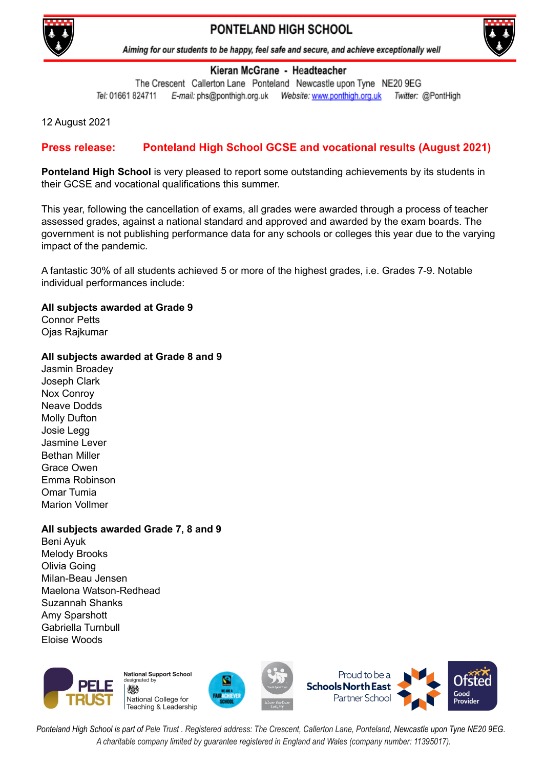

# PONTELAND HIGH SCHOOL



Aiming for our students to be happy, feel safe and secure, and achieve exceptionally well

#### Kieran McGrane - Headteacher

The Crescent Callerton Lane Ponteland Newcastle upon Tyne NE20 9EG Tel: 01661 824711 Twitter: @PontHigh

12 August 2021

## **Press release: Ponteland High School GCSE and vocational results (August 2021)**

**Ponteland High School** is very pleased to report some outstanding achievements by its students in their GCSE and vocational qualifications this summer.

This year, following the cancellation of exams, all grades were awarded through a process of teacher assessed grades, against a national standard and approved and awarded by the exam boards. The government is not publishing performance data for any schools or colleges this year due to the varying impact of the pandemic.

A fantastic 30% of all students achieved 5 or more of the highest grades, i.e. Grades 7-9. Notable individual performances include:

# **All subjects awarded at Grade 9**

Connor Petts Ojas Rajkumar

#### **All subjects awarded at Grade 8 and 9**

Jasmin Broadey Joseph Clark Nox Conroy Neave Dodds Molly Dufton Josie Legg Jasmine Lever Bethan Miller Grace Owen Emma Robinson Omar Tumia Marion Vollmer

### **All subjects awarded Grade 7, 8 and 9**

Beni Ayuk Melody Brooks Olivia Going Milan-Beau Jensen Maelona Watson-Redhead Suzannah Shanks Amy Sparshott Gabriella Turnbull Eloise Woods



Ponteland High School is part of Pele Trust. Registered address: The Crescent, Callerton Lane, Ponteland, Newcastle upon Tyne NE20 9EG. *A charitable company limited by guarantee registered in England and Wales (company number: 11395017).*